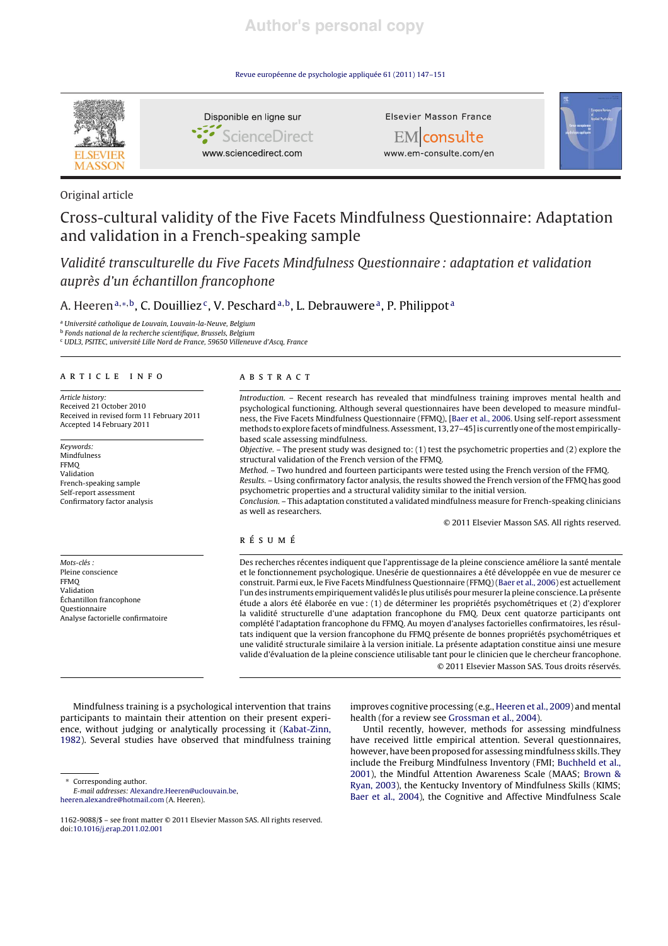# **Author's personal copy**

Revue européenne de psychologie appliquée 61 (2011) 147–151



## Original article

# Cross-cultural validity of the Five Facets Mindfulness Questionnaire: Adaptation and validation in a French-speaking sample

Validité transculturelle du Five Facets Mindfulness Questionnaire : adaptation et validation auprès d'un échantillon francophone

## A. Heeren<sup>a,\*,b</sup>, C. Douilliez<sup>c</sup>, V. Peschard<sup>a,b</sup>, L. Debrauwere<sup>a</sup>, P. Philippot<sup>a</sup>

<sup>a</sup> Université catholique de Louvain, Louvain-la-Neuve, Belgium

<sup>b</sup> Fonds national de la recherche scientifique, Brussels, Belgium

<sup>c</sup> UDL3, PSITEC, université Lille Nord de France, 59650 Villeneuve d'Ascq, France

## article info

Article history: Received 21 October 2010 Received in revised form 11 February 2011 Accepted 14 February 2011

Keywords: Mindfulness **FFMO** Validation French-speaking sample Self-report assessment Confirmatory factor analysis

Mots-clés : Pleine conscience FFMQ Validation Échantillon francophone Questionnaire Analyse factorielle confirmatoire

## abstract

Introduction. – Recent research has revealed that mindfulness training improves mental health and psychological functioning. Although several questionnaires have been developed to measure mindfulness, the Five Facets Mindfulness Questionnaire (FFMQ), [Baer et al., 2006. Using self-report assessment methods to explore facets of mindfulness. Assessment, 13, 27-45] is currently one of the most empiricallybased scale assessing mindfulness.

Objective. – The present study was designed to: (1) test the psychometric properties and (2) explore the structural validation of the French version of the FFMQ.

Method. – Two hundred and fourteen participants were tested using the French version of the FFMQ. Results. – Using confirmatory factor analysis, the results showed the French version of the FFMQ has good psychometric properties and a structural validity similar to the initial version.

Conclusion. – This adaptation constituted a validated mindfulness measure for French-speaking clinicians as well as researchers.

© 2011 Elsevier Masson SAS. All rights reserved.

## résumé

Des recherches récentes indiquent que l'apprentissage de la pleine conscience améliore la santé mentale et le fonctionnement psychologique. Unesérie de questionnaires a été développée en vue de mesurer ce construit. Parmi eux, le Five Facets Mindfulness Questionnaire (FFMQ) (Baer et al., 2006) est actuellement l'un des instruments empiriquement validés le plus utilisés pour mesurer la pleine conscience. La présente étude a alors été élaborée en vue : (1) de déterminer les propriétés psychométriques et (2) d'explorer la validité structurelle d'une adaptation francophone du FMQ. Deux cent quatorze participants ont complété l'adaptation francophone du FFMQ. Au moyen d'analyses factorielles confirmatoires, les résultats indiquent que la version francophone du FFMQ présente de bonnes propriétés psychométriques et une validité structurale similaire à la version initiale. La présente adaptation constitue ainsi une mesure valide d'évaluation de la pleine conscience utilisable tant pour le clinicien que le chercheur francophone. © 2011 Elsevier Masson SAS. Tous droits réservés.

Mindfulness training is a psychological intervention that trains participants to maintain their attention on their present experience, without judging or analytically processing it (Kabat-Zinn, 1982). Several studies have observed that mindfulness training

∗ Corresponding author.

E-mail addresses: Alexandre.Heeren@uclouvain.be,

heeren.alexandre@hotmail.com (A. Heeren).

improves cognitive processing (e.g., Heeren et al., 2009) and mental health (for a review see Grossman et al., 2004).

Until recently, however, methods for assessing mindfulness have received little empirical attention. Several questionnaires, however, have been proposed for assessing mindfulness skills. They include the Freiburg Mindfulness Inventory (FMI; Buchheld et al., 2001), the Mindful Attention Awareness Scale (MAAS; Brown & Ryan, 2003), the Kentucky Inventory of Mindfulness Skills (KIMS; Baer et al., 2004), the Cognitive and Affective Mindfulness Scale

<sup>1162-9088/\$ –</sup> see front matter © 2011 Elsevier Masson SAS. All rights reserved. doi:10.1016/j.erap.2011.02.001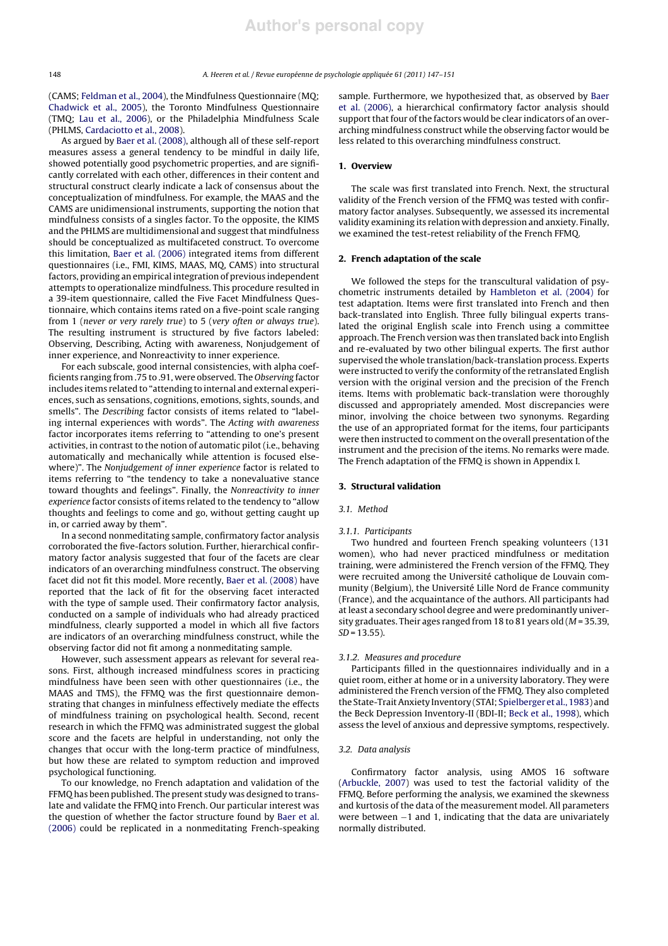(CAMS; Feldman et al., 2004), the Mindfulness Questionnaire (MQ; Chadwick et al., 2005), the Toronto Mindfulness Questionnaire (TMQ; Lau et al., 2006), or the Philadelphia Mindfulness Scale (PHLMS, Cardaciotto et al., 2008).

As argued by Baer et al. (2008), although all of these self-report measures assess a general tendency to be mindful in daily life, showed potentially good psychometric properties, and are significantly correlated with each other, differences in their content and structural construct clearly indicate a lack of consensus about the conceptualization of mindfulness. For example, the MAAS and the CAMS are unidimensional instruments, supporting the notion that mindfulness consists of a singles factor. To the opposite, the KIMS and the PHLMS are multidimensional and suggest that mindfulness should be conceptualized as multifaceted construct. To overcome this limitation, Baer et al. (2006) integrated items from different questionnaires (i.e., FMI, KIMS, MAAS, MQ, CAMS) into structural factors, providing an empirical integration of previous independent attempts to operationalize mindfulness. This procedure resulted in a 39-item questionnaire, called the Five Facet Mindfulness Questionnaire, which contains items rated on a five-point scale ranging from 1 (never or very rarely true) to 5 (very often or always true). The resulting instrument is structured by five factors labeled: Observing, Describing, Acting with awareness, Nonjudgement of inner experience, and Nonreactivity to inner experience.

For each subscale, good internal consistencies, with alpha coefficients ranging from .75 to .91, were observed. The Observing factor includes items related to "attending to internal and external experiences, such as sensations, cognitions, emotions, sights, sounds, and smells". The Describing factor consists of items related to "labeling internal experiences with words". The Acting with awareness factor incorporates items referring to "attending to one's present activities, in contrast to the notion of automatic pilot (i.e., behaving automatically and mechanically while attention is focused elsewhere)". The Nonjudgement of inner experience factor is related to items referring to "the tendency to take a nonevaluative stance toward thoughts and feelings". Finally, the Nonreactivity to inner experience factor consists of items related to the tendency to "allow thoughts and feelings to come and go, without getting caught up in, or carried away by them".

In a second nonmeditating sample, confirmatory factor analysis corroborated the five-factors solution. Further, hierarchical confirmatory factor analysis suggested that four of the facets are clear indicators of an overarching mindfulness construct. The observing facet did not fit this model. More recently, Baer et al. (2008) have reported that the lack of fit for the observing facet interacted with the type of sample used. Their confirmatory factor analysis, conducted on a sample of individuals who had already practiced mindfulness, clearly supported a model in which all five factors are indicators of an overarching mindfulness construct, while the observing factor did not fit among a nonmeditating sample.

However, such assessment appears as relevant for several reasons. First, although increased mindfulness scores in practicing mindfulness have been seen with other questionnaires (i.e., the MAAS and TMS), the FFMQ was the first questionnaire demonstrating that changes in minfulness effectively mediate the effects of mindfulness training on psychological health. Second, recent research in which the FFMQ was administrated suggest the global score and the facets are helpful in understanding, not only the changes that occur with the long-term practice of mindfulness, but how these are related to symptom reduction and improved psychological functioning.

To our knowledge, no French adaptation and validation of the FFMQ has been published. The present study was designed to translate and validate the FFMQ into French. Our particular interest was the question of whether the factor structure found by Baer et al. (2006) could be replicated in a nonmeditating French-speaking sample. Furthermore, we hypothesized that, as observed by Baer et al. (2006), a hierarchical confirmatory factor analysis should support that four of the factors would be clear indicators of an overarching mindfulness construct while the observing factor would be less related to this overarching mindfulness construct.

## 1. Overview

The scale was first translated into French. Next, the structural validity of the French version of the FFMQ was tested with confirmatory factor analyses. Subsequently, we assessed its incremental validity examining its relation with depression and anxiety. Finally, we examined the test-retest reliability of the French FFMQ.

## 2. French adaptation of the scale

We followed the steps for the transcultural validation of psychometric instruments detailed by Hambleton et al. (2004) for test adaptation. Items were first translated into French and then back-translated into English. Three fully bilingual experts translated the original English scale into French using a committee approach. The French version was then translated back into English and re-evaluated by two other bilingual experts. The first author supervised the whole translation/back-translation process. Experts were instructed to verify the conformity of the retranslated English version with the original version and the precision of the French items. Items with problematic back-translation were thoroughly discussed and appropriately amended. Most discrepancies were minor, involving the choice between two synonyms. Regarding the use of an appropriated format for the items, four participants were then instructed to comment on the overall presentation of the instrument and the precision of the items. No remarks were made. The French adaptation of the FFMQ is shown in Appendix I.

## 3. Structural validation

## 3.1. Method

#### 3.1.1. Participants

Two hundred and fourteen French speaking volunteers (131 women), who had never practiced mindfulness or meditation training, were administered the French version of the FFMQ. They were recruited among the Université catholique de Louvain community (Belgium), the Université Lille Nord de France community (France), and the acquaintance of the authors. All participants had at least a secondary school degree and were predominantly university graduates. Their ages ranged from 18 to 81 years old ( $M = 35.39$ ,  $SD = 13.55$ ).

#### 3.1.2. Measures and procedure

Participants filled in the questionnaires individually and in a quiet room, either at home or in a university laboratory. They were administered the French version of the FFMQ. They also completed the State-Trait Anxiety Inventory (STAI; Spielberger et al., 1983) and the Beck Depression Inventory-II (BDI-II; Beck et al., 1998), which assess the level of anxious and depressive symptoms, respectively.

### 3.2. Data analysis

Confirmatory factor analysis, using AMOS 16 software (Arbuckle, 2007) was used to test the factorial validity of the FFMQ. Before performing the analysis, we examined the skewness and kurtosis of the data of the measurement model. All parameters were between −1 and 1, indicating that the data are univariately normally distributed.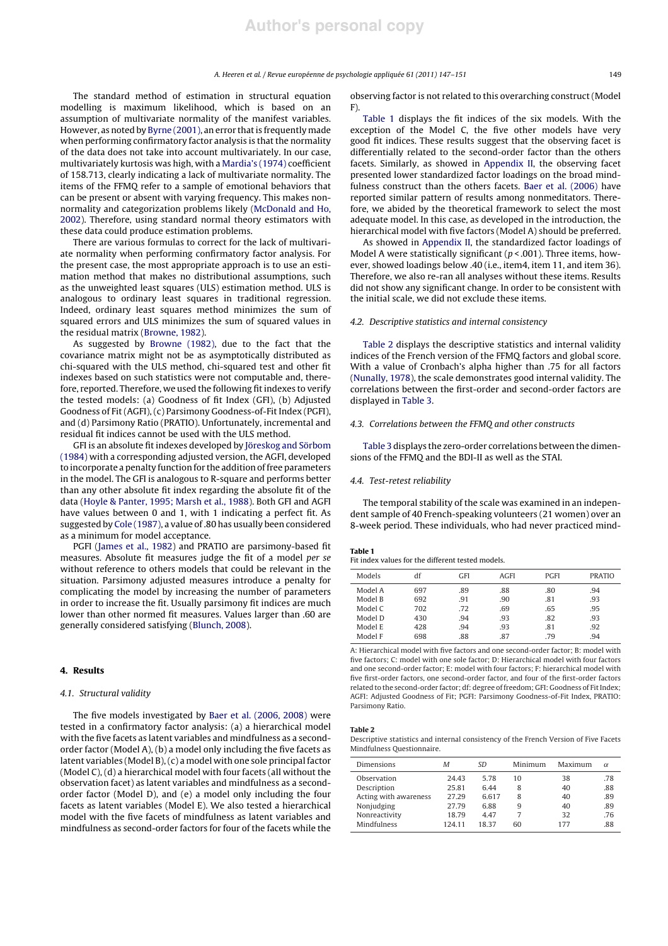The standard method of estimation in structural equation modelling is maximum likelihood, which is based on an assumption of multivariate normality of the manifest variables. However, as noted by Byrne (2001), an error that is frequently made when performing confirmatory factor analysis is that the normality of the data does not take into account multivariately. In our case, multivariately kurtosis was high, with a Mardia's (1974) coefficient of 158.713, clearly indicating a lack of multivariate normality. The items of the FFMQ refer to a sample of emotional behaviors that can be present or absent with varying frequency. This makes nonnormality and categorization problems likely (McDonald and Ho, 2002). Therefore, using standard normal theory estimators with these data could produce estimation problems.

There are various formulas to correct for the lack of multivariate normality when performing confirmatory factor analysis. For the present case, the most appropriate approach is to use an estimation method that makes no distributional assumptions, such as the unweighted least squares (ULS) estimation method. ULS is analogous to ordinary least squares in traditional regression. Indeed, ordinary least squares method minimizes the sum of squared errors and ULS minimizes the sum of squared values in the residual matrix (Browne, 1982).

As suggested by Browne (1982), due to the fact that the covariance matrix might not be as asymptotically distributed as chi-squared with the ULS method, chi-squared test and other fit indexes based on such statistics were not computable and, therefore, reported. Therefore, we used the following fit indexes to verify the tested models: (a) Goodness of fit Index (GFI), (b) Adjusted Goodness of Fit (AGFI), (c) Parsimony Goodness-of-Fit Index (PGFI), and (d) Parsimony Ratio (PRATIO). Unfortunately, incremental and residual fit indices cannot be used with the ULS method.

GFI is an absolute fit indexes developed by Jöreskog and Sörbom (1984) with a corresponding adjusted version, the AGFI, developed to incorporate a penalty function for the addition of free parameters in the model. The GFI is analogous to R-square and performs better than any other absolute fit index regarding the absolute fit of the data (Hoyle & Panter, 1995; Marsh et al., 1988). Both GFI and AGFI have values between 0 and 1, with 1 indicating a perfect fit. As suggested by Cole (1987), a value of .80 has usually been considered as a minimum for model acceptance.

PGFI (James et al., 1982) and PRATIO are parsimony-based fit measures. Absolute fit measures judge the fit of a model per se without reference to others models that could be relevant in the situation. Parsimony adjusted measures introduce a penalty for complicating the model by increasing the number of parameters in order to increase the fit. Usually parsimony fit indices are much lower than other normed fit measures. Values larger than .60 are generally considered satisfying (Blunch, 2008).

## 4. Results

## 4.1. Structural validity

The five models investigated by Baer et al. (2006, 2008) were tested in a confirmatory factor analysis: (a) a hierarchical model with the five facets as latent variables and mindfulness as a secondorder factor (Model A), (b) a model only including the five facets as latent variables (Model B), (c) a model with one sole principal factor (Model C), (d) a hierarchical model with four facets (all without the observation facet) as latent variables and mindfulness as a secondorder factor (Model D), and (e) a model only including the four facets as latent variables (Model E). We also tested a hierarchical model with the five facets of mindfulness as latent variables and mindfulness as second-order factors for four of the facets while the

observing factor is not related to this overarching construct (Model F).

Table 1 displays the fit indices of the six models. With the exception of the Model C, the five other models have very good fit indices. These results suggest that the observing facet is differentially related to the second-order factor than the others facets. Similarly, as showed in Appendix II, the observing facet presented lower standardized factor loadings on the broad mindfulness construct than the others facets. Baer et al. (2006) have reported similar pattern of results among nonmeditators. Therefore, we abided by the theoretical framework to select the most adequate model. In this case, as developed in the introduction, the hierarchical model with five factors (Model A) should be preferred.

As showed in Appendix II, the standardized factor loadings of Model A were statistically significant ( $p < .001$ ). Three items, however, showed loadings below .40 (i.e., item4, item 11, and item 36). Therefore, we also re-ran all analyses without these items. Results did not show any significant change. In order to be consistent with the initial scale, we did not exclude these items.

## 4.2. Descriptive statistics and internal consistency

Table 2 displays the descriptive statistics and internal validity indices of the French version of the FFMQ factors and global score. With a value of Cronbach's alpha higher than .75 for all factors (Nunally, 1978), the scale demonstrates good internal validity. The correlations between the first-order and second-order factors are displayed in Table 3.

## 4.3. Correlations between the FFMQ and other constructs

Table 3 displays the zero-order correlations between the dimensions of the FFMQ and the BDI-II as well as the STAI.

#### 4.4. Test-retest reliability

The temporal stability of the scale was examined in an independent sample of 40 French-speaking volunteers (21 women) over an 8-week period. These individuals, who had never practiced mind-

## Table 1

| Fit index values for the different tested models. |
|---------------------------------------------------|
|---------------------------------------------------|

| Models  | df  | GFI | AGFI | PGFI | <b>PRATIO</b> |
|---------|-----|-----|------|------|---------------|
| Model A | 697 | .89 | .88  | .80  | .94           |
| Model B | 692 | .91 | .90  | .81  | .93           |
| Model C | 702 | .72 | .69  | .65  | .95           |
| Model D | 430 | .94 | .93  | .82  | .93           |
| Model E | 428 | .94 | .93  | .81  | .92           |
| Model F | 698 | .88 | .87  | .79  | .94           |

A: Hierarchical model with five factors and one second-order factor; B: model with five factors; C: model with one sole factor; D: Hierarchical model with four factors and one second-order factor; E: model with four factors; F: hierarchical model with five first-order factors, one second-order factor, and four of the first-order factors related to the second-order factor; df: degree of freedom; GFI: Goodness of Fit Index; AGFI: Adjusted Goodness of Fit; PGFI: Parsimony Goodness-of-Fit Index, PRATIO: Parsimony Ratio.

## Table 2

Descriptive statistics and internal consistency of the French Version of Five Facets Mindfulness Questionnaire.

| Dimensions            | М      | SD    | Minimum | Maximum | $\alpha$ |
|-----------------------|--------|-------|---------|---------|----------|
| Observation           | 24.43  | 5.78  | 10      | 38      | .78      |
| Description           | 25.81  | 6.44  | 8       | 40      | .88      |
| Acting with awareness | 27.29  | 6.617 | 8       | 40      | .89      |
| Nonjudging            | 27.79  | 6.88  | 9       | 40      | .89      |
| Nonreactivity         | 18.79  | 4.47  |         | 32      | .76      |
| Mindfulness           | 124.11 | 18 37 | 60      | 177     | .88      |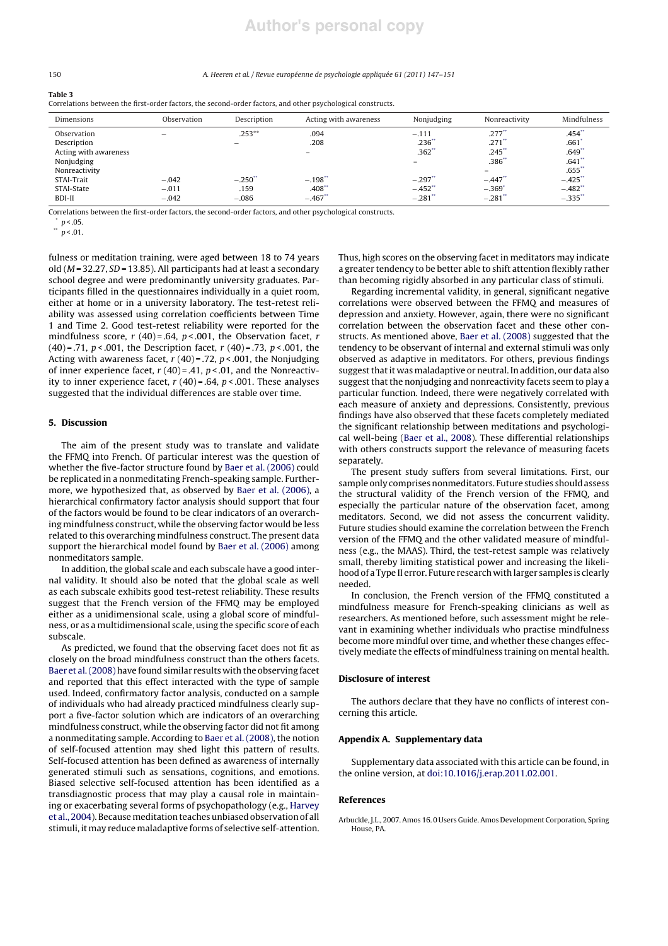## **Author's personal copy**

#### 150 A. Heeren et al. / Revue européenne de psychologie appliquée 61 (2011) 147–151

#### Table 3

Correlations between the first-order factors, the second-order factors, and other psychological constructs.

| Dimensions            | Observation              | Description     | Acting with awareness | Nonjudging           | Nonreactivity            | Mindfulness          |
|-----------------------|--------------------------|-----------------|-----------------------|----------------------|--------------------------|----------------------|
| Observation           | $\overline{\phantom{a}}$ | $.253**$        | .094                  | $-.111$              | $.277$ **                | .454                 |
| Description           |                          |                 | .208                  | .236"                | .271                     | .661                 |
| Acting with awareness |                          |                 | -                     | $.362$ <sup>**</sup> | .245                     | .649"                |
| Nonjudging            |                          |                 |                       |                      | .386"                    | $.641$ <sup>**</sup> |
| Nonreactivity         |                          |                 |                       |                      | $\overline{\phantom{0}}$ | $.655$ **            |
| STAI-Trait            | $-.042$                  | $-.250^{\circ}$ | $-.198"$              | $-.297'$             | $-.447"$                 | $-.425"$             |
| STAI-State            | $-.011$                  | .159            | .408"                 | $-.452$ <sup>*</sup> | $-.369'$                 | $-.482"$             |
| BDI-II                | $-.042$                  | $-.086$         | $-.467"$              | $-.281$              | $-.281$ <sup>*</sup>     | $-.335"$             |

Correlations between the first-order factors, the second-order factors, and other psychological constructs.

 $p < .05$ . \*\*  $p$  < .01.

fulness or meditation training, were aged between 18 to 74 years old ( $M = 32.27$ ,  $SD = 13.85$ ). All participants had at least a secondary school degree and were predominantly university graduates. Participants filled in the questionnaires individually in a quiet room, either at home or in a university laboratory. The test-retest reliability was assessed using correlation coefficients between Time 1 and Time 2. Good test-retest reliability were reported for the mindfulness score,  $r(40) = .64$ ,  $p < .001$ , the Observation facet,  $r$ (40) = .71,  $p < .001$ , the Description facet,  $r(40)$  = .73,  $p < .001$ , the Acting with awareness facet,  $r(40) = .72$ ,  $p < .001$ , the Nonjudging of inner experience facet,  $r(40) = .41$ ,  $p < .01$ , and the Nonreactivity to inner experience facet,  $r(40) = .64$ ,  $p < .001$ . These analyses suggested that the individual differences are stable over time.

## 5. Discussion

The aim of the present study was to translate and validate the FFMQ into French. Of particular interest was the question of whether the five-factor structure found by Baer et al. (2006) could be replicated in a nonmeditating French-speaking sample. Furthermore, we hypothesized that, as observed by Baer et al. (2006), a hierarchical confirmatory factor analysis should support that four of the factors would be found to be clear indicators of an overarching mindfulness construct, while the observing factor would be less related to this overarching mindfulness construct. The present data support the hierarchical model found by Baer et al. (2006) among nonmeditators sample.

In addition, the global scale and each subscale have a good internal validity. It should also be noted that the global scale as well as each subscale exhibits good test-retest reliability. These results suggest that the French version of the FFMQ may be employed either as a unidimensional scale, using a global score of mindfulness, or as a multidimensional scale, using the specific score of each subscale.

As predicted, we found that the observing facet does not fit as closely on the broad mindfulness construct than the others facets. Baer et al. (2008) have found similar results with the observing facet and reported that this effect interacted with the type of sample used. Indeed, confirmatory factor analysis, conducted on a sample of individuals who had already practiced mindfulness clearly support a five-factor solution which are indicators of an overarching mindfulness construct, while the observing factor did not fit among a nonmeditating sample. According to Baer et al. (2008), the notion of self-focused attention may shed light this pattern of results. Self-focused attention has been defined as awareness of internally generated stimuli such as sensations, cognitions, and emotions. Biased selective self-focused attention has been identified as a transdiagnostic process that may play a causal role in maintaining or exacerbating several forms of psychopathology (e.g., Harvey et al., 2004). Becausemeditation teaches unbiased observation of all stimuli, it may reduce maladaptive forms of selective self-attention. Thus, high scores on the observing facet in meditators may indicate a greater tendency to be better able to shift attention flexibly rather than becoming rigidly absorbed in any particular class of stimuli.

Regarding incremental validity, in general, significant negative correlations were observed between the FFMQ and measures of depression and anxiety. However, again, there were no significant correlation between the observation facet and these other constructs. As mentioned above, Baer et al. (2008) suggested that the tendency to be observant of internal and external stimuli was only observed as adaptive in meditators. For others, previous findings suggest that it was maladaptive or neutral. In addition, our data also suggest that the nonjudging and nonreactivity facets seem to play a particular function. Indeed, there were negatively correlated with each measure of anxiety and depressions. Consistently, previous findings have also observed that these facets completely mediated the significant relationship between meditations and psychological well-being (Baer et al., 2008). These differential relationships with others constructs support the relevance of measuring facets separately.

The present study suffers from several limitations. First, our sample only comprises nonmeditators. Future studies should assess the structural validity of the French version of the FFMQ, and especially the particular nature of the observation facet, among meditators. Second, we did not assess the concurrent validity. Future studies should examine the correlation between the French version of the FFMQ and the other validated measure of mindfulness (e.g., the MAAS). Third, the test-retest sample was relatively small, thereby limiting statistical power and increasing the likelihood of a Type II error. Future research with larger samples is clearly needed.

In conclusion, the French version of the FFMQ constituted a mindfulness measure for French-speaking clinicians as well as researchers. As mentioned before, such assessment might be relevant in examining whether individuals who practise mindfulness become more mindful over time, and whether these changes effectively mediate the effects of mindfulness training on mental health.

#### Disclosure of interest

The authors declare that they have no conflicts of interest concerning this article.

### Appendix A. Supplementary data

Supplementary data associated with this article can be found, in the online version, at doi:10.1016/j.erap.2011.02.001.

#### References

Arbuckle, J.L., 2007. Amos 16. 0 Users Guide. Amos Development Corporation, Spring House, PA.